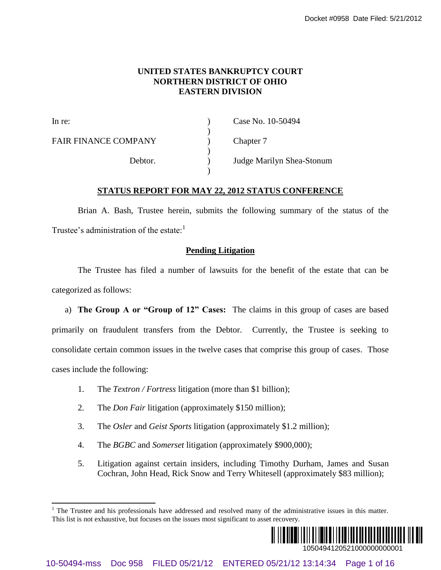### **UNITED STATES BANKRUPTCY COURT NORTHERN DISTRICT OF OHIO EASTERN DIVISION**

| In re:                      | Case No. 10-50494         |
|-----------------------------|---------------------------|
| <b>FAIR FINANCE COMPANY</b> | Chapter 7                 |
| Debtor.                     | Judge Marilyn Shea-Stonum |

### **STATUS REPORT FOR MAY 22, 2012 STATUS CONFERENCE**

Brian A. Bash, Trustee herein, submits the following summary of the status of the Trustee's administration of the estate: $<sup>1</sup>$ </sup>

### **Pending Litigation**

The Trustee has filed a number of lawsuits for the benefit of the estate that can be categorized as follows:

a) **The Group A or "Group of 12" Cases:** The claims in this group of cases are based primarily on fraudulent transfers from the Debtor. Currently, the Trustee is seeking to consolidate certain common issues in the twelve cases that comprise this group of cases. Those cases include the following: Doctor #2069 Date FIRED VATES BANKRUPTCY COURT<br>
NORTHERN DISTRICT OF OHIO<br>
Lance<br>  $\begin{pmatrix}\n\text{1.0\text{N}}\n\end{pmatrix}$  Chepter 7<br>  $\begin{pmatrix}\n\text{1.0\text{N}}\n\end{pmatrix}$  Chepter 7<br>
Define.<br>  $\begin{pmatrix}\n\text{1.0\text{N}}\n\end{pmatrix}$  Define  $\begin{pmatrix}\n\text{1.0$ 

- 1. The *Textron / Fortress* litigation (more than \$1 billion);
- 2. The *Don Fair* litigation (approximately \$150 million);

l

- 3. The *Osler* and *Geist Sports* litigation (approximately \$1.2 million);
- 4. The *BGBC* and *Somerset* litigation (approximately \$900,000);
- 5. Litigation against certain insiders, including Timothy Durham, James and Susan Cochran, John Head, Rick Snow and Terry Whitesell (approximately \$83 million);

 $1$  The Trustee and his professionals have addressed and resolved many of the administrative issues in this matter. This list is not exhaustive, but focuses on the issues most significant to asset recovery.

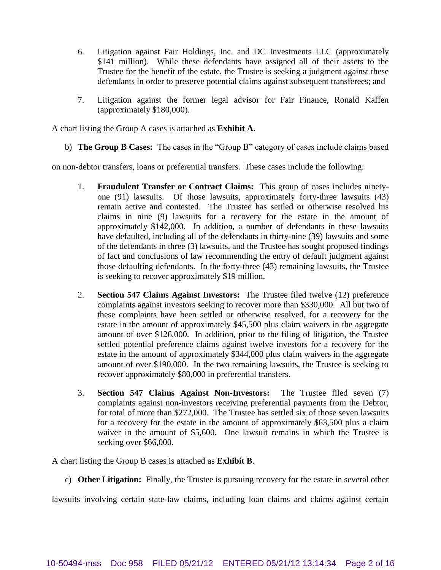- 6. Litigation against Fair Holdings, Inc. and DC Investments LLC (approximately \$141 million). While these defendants have assigned all of their assets to the Trustee for the benefit of the estate, the Trustee is seeking a judgment against these defendants in order to preserve potential claims against subsequent transferees; and
- 7. Litigation against the former legal advisor for Fair Finance, Ronald Kaffen (approximately \$180,000).

A chart listing the Group A cases is attached as **Exhibit A**.

b) **The Group B Cases:** The cases in the "Group B" category of cases include claims based

on non-debtor transfers, loans or preferential transfers. These cases include the following:

- 1. **Fraudulent Transfer or Contract Claims:** This group of cases includes ninetyone (91) lawsuits. Of those lawsuits, approximately forty-three lawsuits (43) remain active and contested. The Trustee has settled or otherwise resolved his claims in nine (9) lawsuits for a recovery for the estate in the amount of approximately \$142,000. In addition, a number of defendants in these lawsuits have defaulted, including all of the defendants in thirty-nine (39) lawsuits and some of the defendants in three (3) lawsuits, and the Trustee has sought proposed findings of fact and conclusions of law recommending the entry of default judgment against those defaulting defendants. In the forty-three (43) remaining lawsuits, the Trustee is seeking to recover approximately \$19 million.
- 2. **Section 547 Claims Against Investors:** The Trustee filed twelve (12) preference complaints against investors seeking to recover more than \$330,000. All but two of these complaints have been settled or otherwise resolved, for a recovery for the estate in the amount of approximately \$45,500 plus claim waivers in the aggregate amount of over \$126,000. In addition, prior to the filing of litigation, the Trustee settled potential preference claims against twelve investors for a recovery for the estate in the amount of approximately \$344,000 plus claim waivers in the aggregate amount of over \$190,000. In the two remaining lawsuits, the Trustee is seeking to recover approximately \$80,000 in preferential transfers.
- 3. **Section 547 Claims Against Non-Investors:** The Trustee filed seven (7) complaints against non-investors receiving preferential payments from the Debtor, for total of more than \$272,000. The Trustee has settled six of those seven lawsuits for a recovery for the estate in the amount of approximately \$63,500 plus a claim waiver in the amount of \$5,600. One lawsuit remains in which the Trustee is seeking over \$66,000.

A chart listing the Group B cases is attached as **Exhibit B**.

c) **Other Litigation:** Finally, the Trustee is pursuing recovery for the estate in several other

lawsuits involving certain state-law claims, including loan claims and claims against certain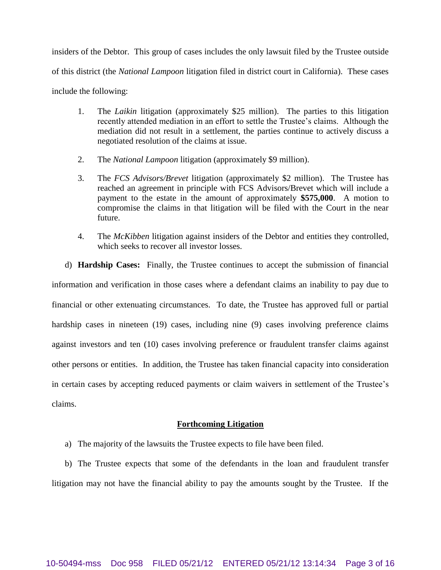insiders of the Debtor. This group of cases includes the only lawsuit filed by the Trustee outside of this district (the *National Lampoon* litigation filed in district court in California). These cases include the following:

- 1. The *Laikin* litigation (approximately \$25 million). The parties to this litigation recently attended mediation in an effort to settle the Trustee's claims. Although the mediation did not result in a settlement, the parties continue to actively discuss a negotiated resolution of the claims at issue.
- 2. The *National Lampoon* litigation (approximately \$9 million).
- 3. The *FCS Advisors/Brevet* litigation (approximately \$2 million). The Trustee has reached an agreement in principle with FCS Advisors/Brevet which will include a payment to the estate in the amount of approximately **\$575,000**. A motion to compromise the claims in that litigation will be filed with the Court in the near future.
- 4. The *McKibben* litigation against insiders of the Debtor and entities they controlled, which seeks to recover all investor losses.

d) **Hardship Cases:** Finally, the Trustee continues to accept the submission of financial information and verification in those cases where a defendant claims an inability to pay due to financial or other extenuating circumstances. To date, the Trustee has approved full or partial hardship cases in nineteen (19) cases, including nine (9) cases involving preference claims against investors and ten (10) cases involving preference or fraudulent transfer claims against other persons or entities. In addition, the Trustee has taken financial capacity into consideration in certain cases by accepting reduced payments or claim waivers in settlement of the Trustee's claims.

### **Forthcoming Litigation**

a) The majority of the lawsuits the Trustee expects to file have been filed.

b) The Trustee expects that some of the defendants in the loan and fraudulent transfer litigation may not have the financial ability to pay the amounts sought by the Trustee. If the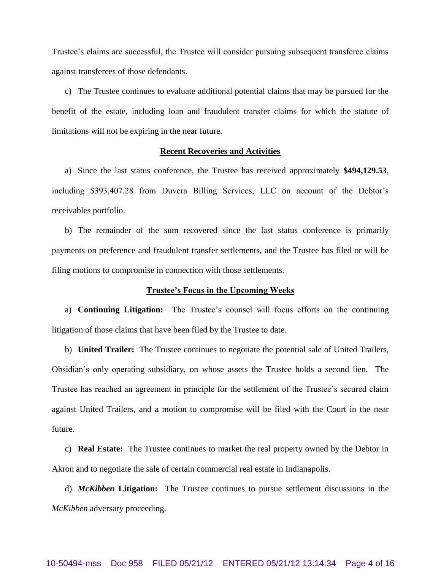Trustee's claims are successful, the Trustee will consider pursuing subsequent transferee claims against transferees of those defendants.

c) The Trustee continues to evaluate additional potential claims that may be pursued for the benefit of the estate, including loan and fraudulent transfer claims for which the statute of limitations will not be expiring in the near future.

### **Recent Recoveries and Activities**

a) Since the last status conference, the Trustee has received approximately **\$494,129.53**, including \$393,407.28 from Duvera Billing Services, LLC on account of the Debtor's receivables portfolio.

b) The remainder of the sum recovered since the last status conference is primarily payments on preference and fraudulent transfer settlements, and the Trustee has filed or will be filing motions to compromise in connection with those settlements.

#### **Trustee's Focus in the Upcoming Weeks**

a) **Continuing Litigation:** The Trustee's counsel will focus efforts on the continuing litigation of those claims that have been filed by the Trustee to date.

b) **United Trailer:** The Trustee continues to negotiate the potential sale of United Trailers, Obsidian's only operating subsidiary, on whose assets the Trustee holds a second lien. The Trustee has reached an agreement in principle for the settlement of the Trustee's secured claim against United Trailers, and a motion to compromise will be filed with the Court in the near future.

c) **Real Estate:** The Trustee continues to market the real property owned by the Debtor in Akron and to negotiate the sale of certain commercial real estate in Indianapolis.

d) *McKibben* **Litigation:** The Trustee continues to pursue settlement discussions in the *McKibben* adversary proceeding.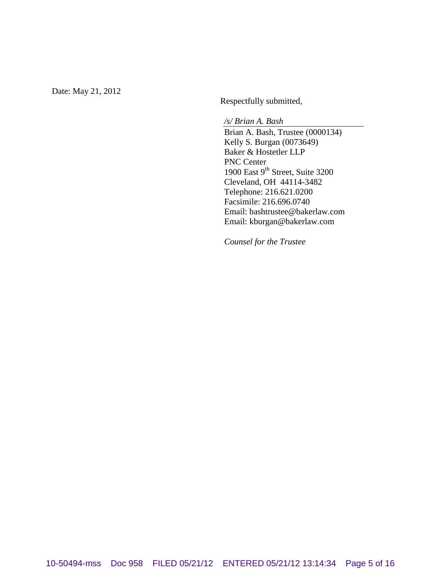Date: May 21, 2012

Respectfully submitted,

*/s/ Brian A. Bash* Brian A. Bash, Trustee (0000134) Kelly S. Burgan (0073649) Baker & Hostetler LLP PNC Center 1900 East 9<sup>th</sup> Street, Suite 3200 Cleveland, OH 44114-3482 Telephone: 216.621.0200 Facsimile: 216.696.0740 Email: bashtrustee@bakerlaw.com Email: kburgan@bakerlaw.com

*Counsel for the Trustee*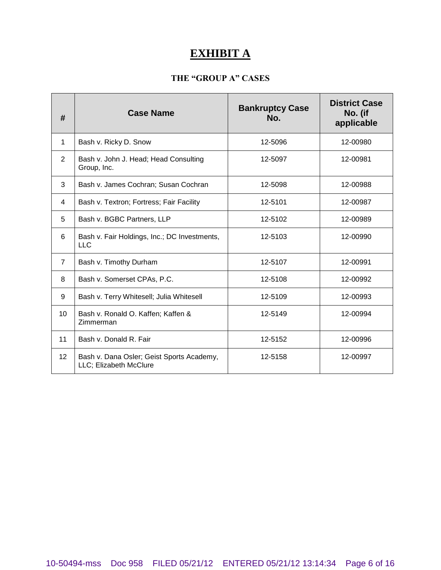# **EXHIBIT A**

## **THE "GROUP A" CASES**

| #                 | <b>Case Name</b>                                                    | <b>Bankruptcy Case</b><br>No. | <b>District Case</b><br>No. (if<br>applicable |
|-------------------|---------------------------------------------------------------------|-------------------------------|-----------------------------------------------|
| 1                 | Bash v. Ricky D. Snow                                               | 12-5096                       | 12-00980                                      |
| $\overline{2}$    | Bash v. John J. Head; Head Consulting<br>Group, Inc.                | 12-5097                       | 12-00981                                      |
| 3                 | Bash v. James Cochran; Susan Cochran                                | 12-5098                       | 12-00988                                      |
| 4                 | Bash v. Textron; Fortress; Fair Facility                            | 12-5101                       | 12-00987                                      |
| 5                 | Bash v. BGBC Partners, LLP                                          | 12-5102                       | 12-00989                                      |
| 6                 | Bash v. Fair Holdings, Inc.; DC Investments,<br>LLC.                | 12-5103                       | 12-00990                                      |
| $\overline{7}$    | Bash v. Timothy Durham                                              | 12-5107                       | 12-00991                                      |
| 8                 | Bash v. Somerset CPAs, P.C.                                         | 12-5108                       | 12-00992                                      |
| 9                 | Bash v. Terry Whitesell; Julia Whitesell                            | 12-5109                       | 12-00993                                      |
| 10                | Bash v. Ronald O. Kaffen; Kaffen &<br>Zimmerman                     | 12-5149                       | 12-00994                                      |
| 11                | Bash v. Donald R. Fair                                              | 12-5152                       | 12-00996                                      |
| $12 \overline{ }$ | Bash v. Dana Osler; Geist Sports Academy,<br>LLC; Elizabeth McClure | 12-5158                       | 12-00997                                      |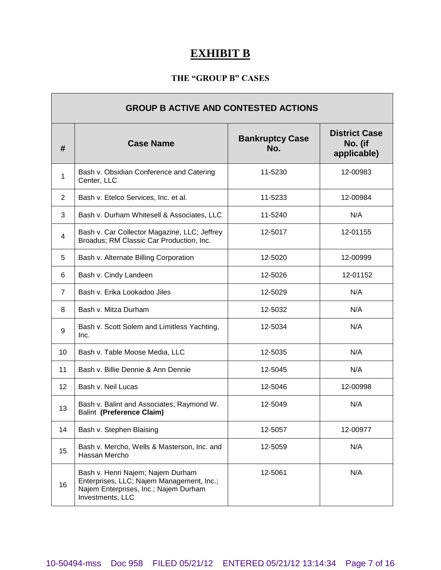# **EXHIBIT B**

## **THE "GROUP B" CASES**

| <b>GROUP B ACTIVE AND CONTESTED ACTIONS</b> |                                                                                                                                             |                               |                                                |
|---------------------------------------------|---------------------------------------------------------------------------------------------------------------------------------------------|-------------------------------|------------------------------------------------|
| #                                           | <b>Case Name</b>                                                                                                                            | <b>Bankruptcy Case</b><br>No. | <b>District Case</b><br>No. (if<br>applicable) |
| 1                                           | Bash v. Obsidian Conference and Catering<br>Center, LLC                                                                                     | 11-5230                       | 12-00983                                       |
| $\overline{2}$                              | Bash v. Etelco Services, Inc. et al.                                                                                                        | 11-5233                       | 12-00984                                       |
| 3                                           | Bash v. Durham Whitesell & Associates, LLC                                                                                                  | 11-5240                       | N/A                                            |
| 4                                           | Bash v. Car Collector Magazine, LLC; Jeffrey<br>Broadus; RM Classic Car Production, Inc.                                                    | 12-5017                       | 12-01155                                       |
| 5                                           | Bash v. Alternate Billing Corporation                                                                                                       | 12-5020                       | 12-00999                                       |
| 6                                           | Bash v. Cindy Landeen                                                                                                                       | 12-5026                       | 12-01152                                       |
| $\overline{7}$                              | Bash v. Erika Lookadoo Jiles                                                                                                                | 12-5029                       | N/A                                            |
| 8                                           | Bash v. Mitza Durham                                                                                                                        | 12-5032                       | N/A                                            |
| 9                                           | Bash v. Scott Solem and Limitless Yachting,<br>Inc.                                                                                         | 12-5034                       | N/A                                            |
| 10                                          | Bash v. Table Moose Media, LLC                                                                                                              | 12-5035                       | N/A                                            |
| 11                                          | Bash v. Billie Dennie & Ann Dennie                                                                                                          | 12-5045                       | N/A                                            |
| 12                                          | Bash v. Neil Lucas                                                                                                                          | 12-5046                       | 12-00998                                       |
| 13                                          | Bash v. Balint and Associates; Raymond W.<br>Balint (Preference Claim)                                                                      | 12-5049                       | N/A                                            |
| 14                                          | Bash v. Stephen Blaising                                                                                                                    | 12-5057                       | 12-00977                                       |
| 15                                          | Bash v. Mercho, Wells & Masterson, Inc. and<br>Hassan Mercho                                                                                | 12-5059                       | N/A                                            |
| 16                                          | Bash v. Henri Najem; Najem Durham<br>Enterprises, LLC; Najem Management, Inc.;<br>Najem Enterprises, Inc.; Najem Durham<br>Investments, LLC | 12-5061                       | N/A                                            |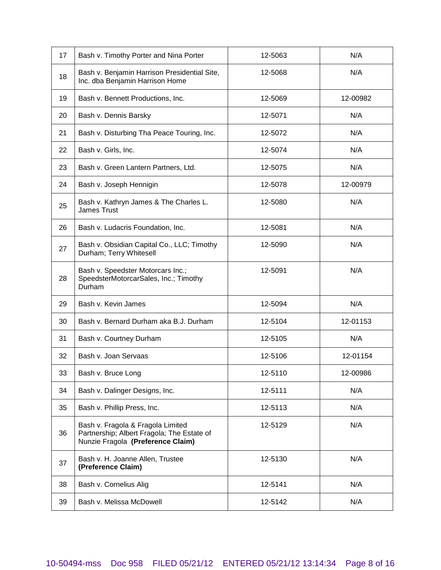| 17 | Bash v. Timothy Porter and Nina Porter                                                                               | 12-5063 | N/A      |
|----|----------------------------------------------------------------------------------------------------------------------|---------|----------|
| 18 | Bash v. Benjamin Harrison Presidential Site,<br>Inc. dba Benjamin Harrison Home                                      | 12-5068 | N/A      |
| 19 | Bash v. Bennett Productions, Inc.                                                                                    | 12-5069 | 12-00982 |
| 20 | Bash v. Dennis Barsky                                                                                                | 12-5071 | N/A      |
| 21 | Bash v. Disturbing Tha Peace Touring, Inc.                                                                           | 12-5072 | N/A      |
| 22 | Bash v. Girls, Inc.                                                                                                  | 12-5074 | N/A      |
| 23 | Bash v. Green Lantern Partners, Ltd.                                                                                 | 12-5075 | N/A      |
| 24 | Bash v. Joseph Hennigin                                                                                              | 12-5078 | 12-00979 |
| 25 | Bash v. Kathryn James & The Charles L.<br><b>James Trust</b>                                                         | 12-5080 | N/A      |
| 26 | Bash v. Ludacris Foundation, Inc.                                                                                    | 12-5081 | N/A      |
| 27 | Bash v. Obsidian Capital Co., LLC; Timothy<br>Durham; Terry Whitesell                                                | 12-5090 | N/A      |
| 28 | Bash v. Speedster Motorcars Inc.;<br>SpeedsterMotorcarSales, Inc.; Timothy<br>Durham                                 | 12-5091 | N/A      |
| 29 | Bash v. Kevin James                                                                                                  | 12-5094 | N/A      |
| 30 | Bash v. Bernard Durham aka B.J. Durham                                                                               | 12-5104 | 12-01153 |
| 31 | Bash v. Courtney Durham                                                                                              | 12-5105 | N/A      |
| 32 | Bash v. Joan Servaas                                                                                                 | 12-5106 | 12-01154 |
| 33 | Bash v. Bruce Long                                                                                                   | 12-5110 | 12-00986 |
| 34 | Bash v. Dalinger Designs, Inc.                                                                                       | 12-5111 | N/A      |
| 35 | Bash v. Phillip Press, Inc.                                                                                          | 12-5113 | N/A      |
| 36 | Bash v. Fragola & Fragola Limited<br>Partnership; Albert Fragola; The Estate of<br>Nunzie Fragola (Preference Claim) | 12-5129 | N/A      |
| 37 | Bash v. H. Joanne Allen, Trustee<br>(Preference Claim)                                                               | 12-5130 | N/A      |
| 38 | Bash v. Cornelius Alig                                                                                               | 12-5141 | N/A      |
| 39 | Bash v. Melissa McDowell                                                                                             | 12-5142 | N/A      |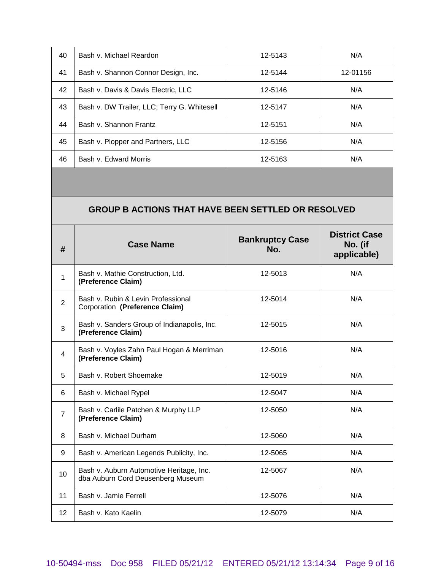| 40 | Bash v. Michael Reardon                     | 12-5143 | N/A      |
|----|---------------------------------------------|---------|----------|
| 41 | Bash v. Shannon Connor Design, Inc.         | 12-5144 | 12-01156 |
| 42 | Bash v. Davis & Davis Electric, LLC         | 12-5146 | N/A      |
| 43 | Bash v. DW Trailer, LLC; Terry G. Whitesell | 12-5147 | N/A      |
| 44 | Bash v. Shannon Frantz                      | 12-5151 | N/A      |
| 45 | Bash v. Plopper and Partners, LLC           | 12-5156 | N/A      |
| 46 | Bash v. Edward Morris                       | 12-5163 | N/A      |

## **GROUP B ACTIONS THAT HAVE BEEN SETTLED OR RESOLVED**

| #              | <b>Case Name</b>                                                              | <b>Bankruptcy Case</b><br>No. | <b>District Case</b><br>No. (if<br>applicable) |
|----------------|-------------------------------------------------------------------------------|-------------------------------|------------------------------------------------|
| $\mathbf{1}$   | Bash v. Mathie Construction, Ltd.<br>(Preference Claim)                       | 12-5013                       | N/A                                            |
| $\overline{2}$ | Bash v. Rubin & Levin Professional<br>Corporation (Preference Claim)          | 12-5014                       | N/A                                            |
| 3              | Bash v. Sanders Group of Indianapolis, Inc.<br>(Preference Claim)             | 12-5015                       | N/A                                            |
| $\overline{4}$ | Bash v. Voyles Zahn Paul Hogan & Merriman<br>(Preference Claim)               | 12-5016                       | N/A                                            |
| 5              | Bash v. Robert Shoemake                                                       | 12-5019                       | N/A                                            |
| 6              | Bash v. Michael Rypel                                                         | 12-5047                       | N/A                                            |
| $\overline{7}$ | Bash v. Carlile Patchen & Murphy LLP<br>(Preference Claim)                    | 12-5050                       | N/A                                            |
| 8              | Bash v. Michael Durham                                                        | 12-5060                       | N/A                                            |
| 9              | Bash v. American Legends Publicity, Inc.                                      | 12-5065                       | N/A                                            |
| 10             | Bash v. Auburn Automotive Heritage, Inc.<br>dba Auburn Cord Deusenberg Museum | 12-5067                       | N/A                                            |
| 11             | Bash v. Jamie Ferrell                                                         | 12-5076                       | N/A                                            |
| 12             | Bash v. Kato Kaelin                                                           | 12-5079                       | N/A                                            |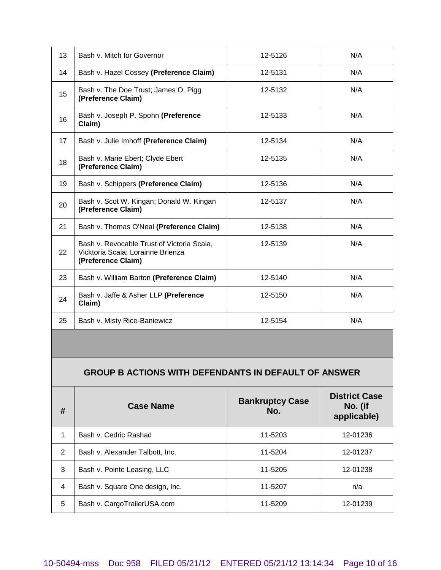| 13 | Bash v. Mitch for Governor                                                                            | 12-5126 | N/A |
|----|-------------------------------------------------------------------------------------------------------|---------|-----|
| 14 | Bash v. Hazel Cossey (Preference Claim)                                                               | 12-5131 | N/A |
| 15 | Bash v. The Doe Trust; James O. Pigg<br>(Preference Claim)                                            | 12-5132 | N/A |
| 16 | Bash v. Joseph P. Spohn (Preference<br>Claim)                                                         | 12-5133 | N/A |
| 17 | Bash v. Julie Imhoff (Preference Claim)                                                               | 12-5134 | N/A |
| 18 | Bash v. Marie Ebert; Clyde Ebert<br>(Preference Claim)                                                | 12-5135 | N/A |
| 19 | Bash v. Schippers (Preference Claim)                                                                  | 12-5136 | N/A |
| 20 | Bash v. Scot W. Kingan; Donald W. Kingan<br>(Preference Claim)                                        | 12-5137 | N/A |
| 21 | Bash v. Thomas O'Neal (Preference Claim)                                                              | 12-5138 | N/A |
| 22 | Bash v. Revocable Trust of Victoria Scaia,<br>Vicktoria Scaia; Lorainne Brienza<br>(Preference Claim) | 12-5139 | N/A |
| 23 | Bash v. William Barton (Preference Claim)                                                             | 12-5140 | N/A |
| 24 | Bash v. Jaffe & Asher LLP (Preference<br>Claim)                                                       | 12-5150 | N/A |
| 25 | Bash v. Misty Rice-Baniewicz                                                                          | 12-5154 | N/A |

## **GROUP B ACTIONS WITH DEFENDANTS IN DEFAULT OF ANSWER**

| #              | <b>Case Name</b>                | <b>Bankruptcy Case</b><br>No. | <b>District Case</b><br>No. (if<br>applicable) |
|----------------|---------------------------------|-------------------------------|------------------------------------------------|
| 1              | Bash v. Cedric Rashad           | 11-5203                       | 12-01236                                       |
| 2              | Bash v. Alexander Talbott, Inc. | 11-5204                       | 12-01237                                       |
| 3              | Bash v. Pointe Leasing, LLC     | 11-5205                       | 12-01238                                       |
| $\overline{4}$ | Bash v. Square One design, Inc. | 11-5207                       | n/a                                            |
| 5              | Bash v. CargoTrailerUSA.com     | 11-5209                       | 12-01239                                       |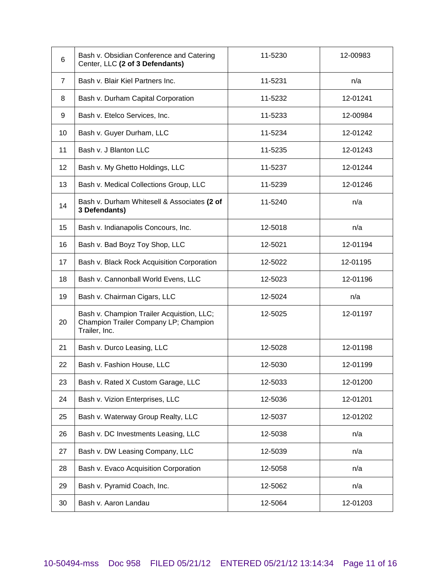| 6  | Bash v. Obsidian Conference and Catering<br>Center, LLC (2 of 3 Defendants)                         | 11-5230 | 12-00983 |
|----|-----------------------------------------------------------------------------------------------------|---------|----------|
| 7  | Bash v. Blair Kiel Partners Inc.                                                                    | 11-5231 | n/a      |
| 8  | Bash v. Durham Capital Corporation                                                                  | 11-5232 | 12-01241 |
| 9  | Bash v. Etelco Services, Inc.                                                                       | 11-5233 | 12-00984 |
| 10 | Bash v. Guyer Durham, LLC                                                                           | 11-5234 | 12-01242 |
| 11 | Bash v. J Blanton LLC                                                                               | 11-5235 | 12-01243 |
| 12 | Bash v. My Ghetto Holdings, LLC                                                                     | 11-5237 | 12-01244 |
| 13 | Bash v. Medical Collections Group, LLC                                                              | 11-5239 | 12-01246 |
| 14 | Bash v. Durham Whitesell & Associates (2 of<br>3 Defendants)                                        | 11-5240 | n/a      |
| 15 | Bash v. Indianapolis Concours, Inc.                                                                 | 12-5018 | n/a      |
| 16 | Bash v. Bad Boyz Toy Shop, LLC                                                                      | 12-5021 | 12-01194 |
| 17 | Bash v. Black Rock Acquisition Corporation                                                          | 12-5022 | 12-01195 |
| 18 | Bash v. Cannonball World Evens, LLC                                                                 | 12-5023 | 12-01196 |
| 19 | Bash v. Chairman Cigars, LLC                                                                        | 12-5024 | n/a      |
| 20 | Bash v. Champion Trailer Acquistion, LLC;<br>Champion Trailer Company LP; Champion<br>Trailer, Inc. | 12-5025 | 12-01197 |
| 21 | Bash v. Durco Leasing, LLC                                                                          | 12-5028 | 12-01198 |
| 22 | Bash v. Fashion House, LLC                                                                          | 12-5030 | 12-01199 |
| 23 | Bash v. Rated X Custom Garage, LLC                                                                  | 12-5033 | 12-01200 |
| 24 | Bash v. Vizion Enterprises, LLC                                                                     | 12-5036 | 12-01201 |
| 25 | Bash v. Waterway Group Realty, LLC                                                                  | 12-5037 | 12-01202 |
| 26 | Bash v. DC Investments Leasing, LLC                                                                 | 12-5038 | n/a      |
| 27 | Bash v. DW Leasing Company, LLC                                                                     | 12-5039 | n/a      |
| 28 | Bash v. Evaco Acquisition Corporation                                                               | 12-5058 | n/a      |
| 29 | Bash v. Pyramid Coach, Inc.                                                                         | 12-5062 | n/a      |
| 30 | Bash v. Aaron Landau                                                                                | 12-5064 | 12-01203 |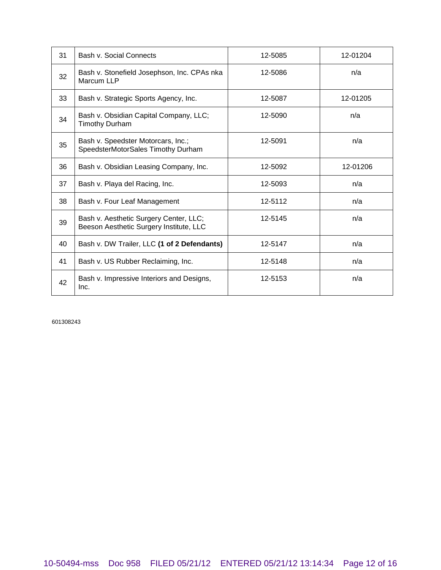| 31 | Bash v. Social Connects                                                           | 12-5085 | 12-01204 |
|----|-----------------------------------------------------------------------------------|---------|----------|
| 32 | Bash v. Stonefield Josephson, Inc. CPAs nka<br>Marcum LLP                         | 12-5086 | n/a      |
| 33 | Bash v. Strategic Sports Agency, Inc.                                             | 12-5087 | 12-01205 |
| 34 | Bash v. Obsidian Capital Company, LLC;<br><b>Timothy Durham</b>                   | 12-5090 | n/a      |
| 35 | Bash v. Speedster Motorcars, Inc.;<br>SpeedsterMotorSales Timothy Durham          | 12-5091 | n/a      |
| 36 | Bash v. Obsidian Leasing Company, Inc.                                            | 12-5092 | 12-01206 |
| 37 | Bash v. Playa del Racing, Inc.                                                    | 12-5093 | n/a      |
| 38 | Bash v. Four Leaf Management                                                      | 12-5112 | n/a      |
| 39 | Bash v. Aesthetic Surgery Center, LLC;<br>Beeson Aesthetic Surgery Institute, LLC | 12-5145 | n/a      |
| 40 | Bash v. DW Trailer, LLC (1 of 2 Defendants)                                       | 12-5147 | n/a      |
| 41 | Bash v. US Rubber Reclaiming, Inc.                                                | 12-5148 | n/a      |
| 42 | Bash v. Impressive Interiors and Designs,<br>Inc.                                 | 12-5153 | n/a      |

601308243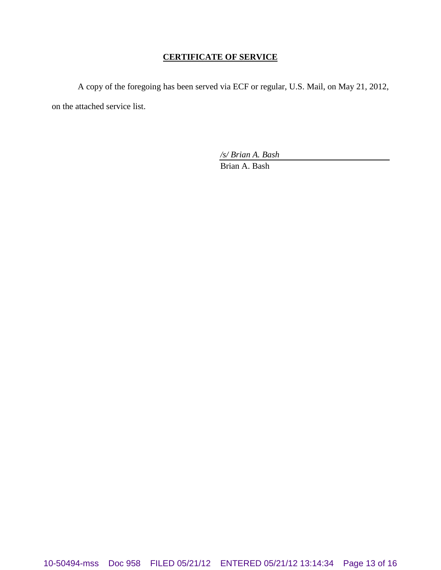### **CERTIFICATE OF SERVICE**

A copy of the foregoing has been served via ECF or regular, U.S. Mail, on May 21, 2012, on the attached service list.

*/s/ Brian A. Bash*

Brian A. Bash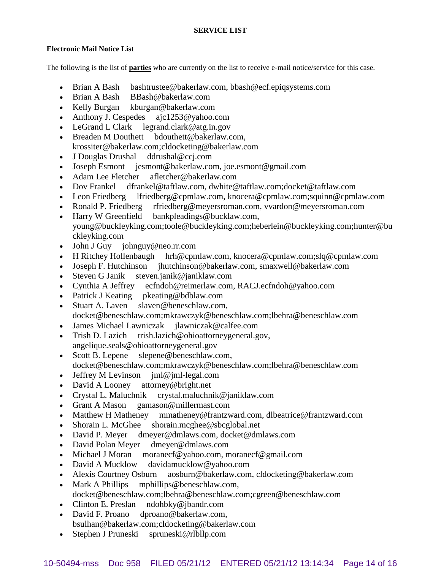### **SERVICE LIST**

### **Electronic Mail Notice List**

The following is the list of **parties** who are currently on the list to receive e-mail notice/service for this case.

- Brian A Bash bashtrustee@bakerlaw.com, bbash@ecf.epiqsystems.com
- Brian A Bash BBash@bakerlaw.com
- Kelly Burgan kburgan@bakerlaw.com
- Anthony J. Cespedes ajc1253@yahoo.com
- LeGrand L Clark legrand.clark@atg.in.gov
- Breaden M Douthett bdouthett@bakerlaw.com, krossiter@bakerlaw.com;cldocketing@bakerlaw.com
- J Douglas Drushal ddrushal@ccj.com
- Joseph Esmont jesmont@bakerlaw.com, joe.esmont@gmail.com
- Adam Lee Fletcher afletcher@bakerlaw.com
- Dov Frankel dfrankel@taftlaw.com, dwhite@taftlaw.com;docket@taftlaw.com
- Leon Friedberg lfriedberg@cpmlaw.com, knocera@cpmlaw.com;squinn@cpmlaw.com
- Ronald P. Friedberg rfriedberg@meyersroman.com, vvardon@meyersroman.com
- Harry W Greenfield bankpleadings@bucklaw.com, young@buckleyking.com;toole@buckleyking.com;heberlein@buckleyking.com;hunter@bu ckleyking.com
- John J Guy johnguy@neo.rr.com
- H Ritchey Hollenbaugh hrh@cpmlaw.com, knocera@cpmlaw.com;slq@cpmlaw.com
- Joseph F. Hutchinson jhutchinson@bakerlaw.com, smaxwell@bakerlaw.com
- Steven G Janik steven.janik@janiklaw.com
- Cynthia A Jeffrey ecfndoh@reimerlaw.com, RACJ.ecfndoh@yahoo.com
- Patrick J Keating pkeating@bdblaw.com
- Stuart A. Laven slaven@beneschlaw.com, docket@beneschlaw.com;mkrawczyk@beneschlaw.com;lbehra@beneschlaw.com
- James Michael Lawniczak jlawniczak@calfee.com
- Trish D. Lazich trish.lazich@ohioattorneygeneral.gov, angelique.seals@ohioattorneygeneral.gov
- Scott B. Lepene slepene@beneschlaw.com, docket@beneschlaw.com;mkrawczyk@beneschlaw.com;lbehra@beneschlaw.com
- Jeffrey M Levinson jml@jml-legal.com
- David A Looney attorney@bright.net
- Crystal L. Maluchnik crystal.maluchnik@janiklaw.com
- Grant A Mason gamason@millermast.com
- Matthew H Matheney mmatheney@frantzward.com, dlbeatrice@frantzward.com
- Shorain L. McGhee shorain.mcghee@sbcglobal.net
- David P. Meyer dmeyer@dmlaws.com, docket@dmlaws.com
- David Polan Meyer dmeyer@dmlaws.com
- Michael J Moran moranecf@yahoo.com, moranecf@gmail.com
- David A Mucklow davidamucklow@yahoo.com
- Alexis Courtney Osburn aosburn@bakerlaw.com, cldocketing@bakerlaw.com
- Mark A Phillips mphillips@beneschlaw.com, docket@beneschlaw.com;lbehra@beneschlaw.com;cgreen@beneschlaw.com
- Clinton E. Preslan ndohbky@jbandr.com
- David F. Proano dproano@bakerlaw.com, bsulhan@bakerlaw.com;cldocketing@bakerlaw.com
- Stephen J Pruneski spruneski@rlbllp.com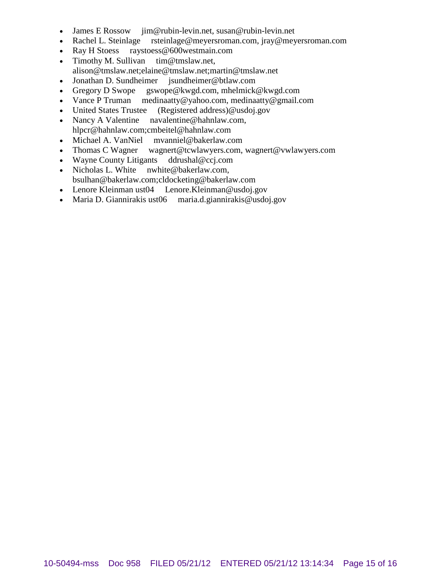- 
- James E Rossow jim@rubin-levin.net, susan@rubin-levin.net<br>• Rachel L. Steinlage rsteinlage@meyersroman.com, jray@mey rsteinlage@meyersroman.com, jray@meyersroman.com
- Ray H Stoess raystoess@600westmain.com
- Timothy M. Sullivan tim@tmslaw.net,
- alison@tmslaw.net;elaine@tmslaw.net;martin@tmslaw.net
- Jonathan D. Sundheimer jsundheimer@btlaw.com
- Gregory D Swope gswope@kwgd.com, mhelmick@kwgd.com
- Vance P Truman medinaatty@yahoo.com, medinaatty@gmail.com
- United States Trustee (Registered address)@usdoj.gov
- Nancy A Valentine navalentine@hahnlaw.com, hlpcr@hahnlaw.com;cmbeitel@hahnlaw.com
- Michael A. VanNiel mvanniel@bakerlaw.com
- Thomas C Wagner wagnert@tcwlawyers.com, wagnert@vwlawyers.com
- Wayne County Litigants ddrushal@ccj.com
- Nicholas L. White nwhite@bakerlaw.com, bsulhan@bakerlaw.com;cldocketing@bakerlaw.com
- Lenore Kleinman ust04 Lenore.Kleinman@usdoj.gov
- Maria D. Giannirakis ust06 maria.d.giannirakis@usdoj.gov